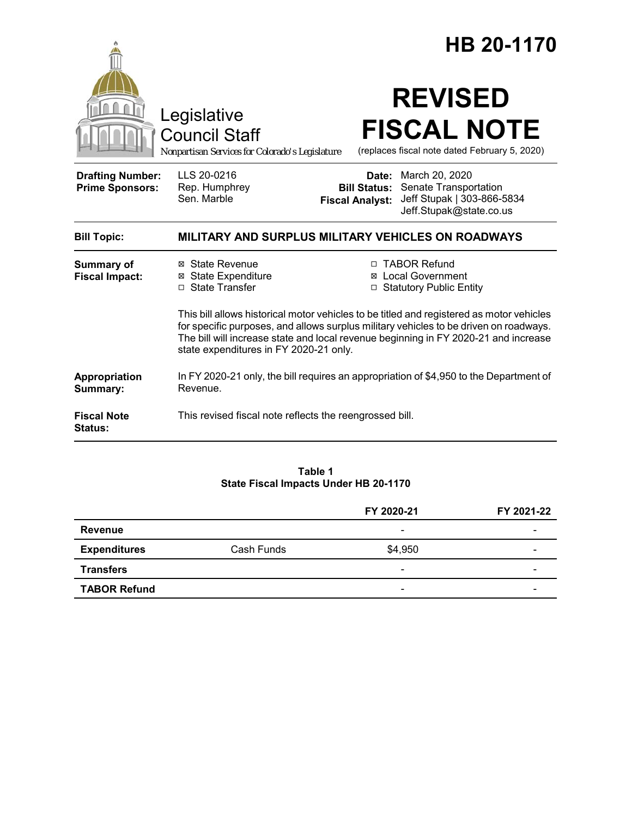|                                                   |                                                                                                                                                                                                                                                                                                                    |                        | HB 20-1170                                                                                                                 |
|---------------------------------------------------|--------------------------------------------------------------------------------------------------------------------------------------------------------------------------------------------------------------------------------------------------------------------------------------------------------------------|------------------------|----------------------------------------------------------------------------------------------------------------------------|
|                                                   | Legislative<br><b>Council Staff</b><br>Nonpartisan Services for Colorado's Legislature                                                                                                                                                                                                                             |                        | <b>REVISED</b><br><b>FISCAL NOTE</b><br>(replaces fiscal note dated February 5, 2020)                                      |
| <b>Drafting Number:</b><br><b>Prime Sponsors:</b> | LLS 20-0216<br>Rep. Humphrey<br>Sen. Marble                                                                                                                                                                                                                                                                        | <b>Fiscal Analyst:</b> | Date: March 20, 2020<br><b>Bill Status: Senate Transportation</b><br>Jeff Stupak   303-866-5834<br>Jeff.Stupak@state.co.us |
| <b>Bill Topic:</b>                                | MILITARY AND SURPLUS MILITARY VEHICLES ON ROADWAYS                                                                                                                                                                                                                                                                 |                        |                                                                                                                            |
| <b>Summary of</b><br><b>Fiscal Impact:</b>        | ⊠ State Revenue<br><b>⊠</b> State Expenditure<br>□ State Transfer                                                                                                                                                                                                                                                  |                        | □ TABOR Refund<br>⊠ Local Government<br>□ Statutory Public Entity                                                          |
|                                                   | This bill allows historical motor vehicles to be titled and registered as motor vehicles<br>for specific purposes, and allows surplus military vehicles to be driven on roadways.<br>The bill will increase state and local revenue beginning in FY 2020-21 and increase<br>state expenditures in FY 2020-21 only. |                        |                                                                                                                            |
| Appropriation<br>Summary:                         | In FY 2020-21 only, the bill requires an appropriation of \$4,950 to the Department of<br>Revenue.                                                                                                                                                                                                                 |                        |                                                                                                                            |
| <b>Fiscal Note</b><br>Status:                     | This revised fiscal note reflects the reengrossed bill.                                                                                                                                                                                                                                                            |                        |                                                                                                                            |

#### **Table 1 State Fiscal Impacts Under HB 20-1170**

|                     |            | FY 2020-21               | FY 2021-22 |
|---------------------|------------|--------------------------|------------|
| Revenue             |            | $\overline{\phantom{a}}$ |            |
| <b>Expenditures</b> | Cash Funds | \$4,950                  | -          |
| <b>Transfers</b>    |            | -                        |            |
| <b>TABOR Refund</b> |            | $\overline{\phantom{0}}$ |            |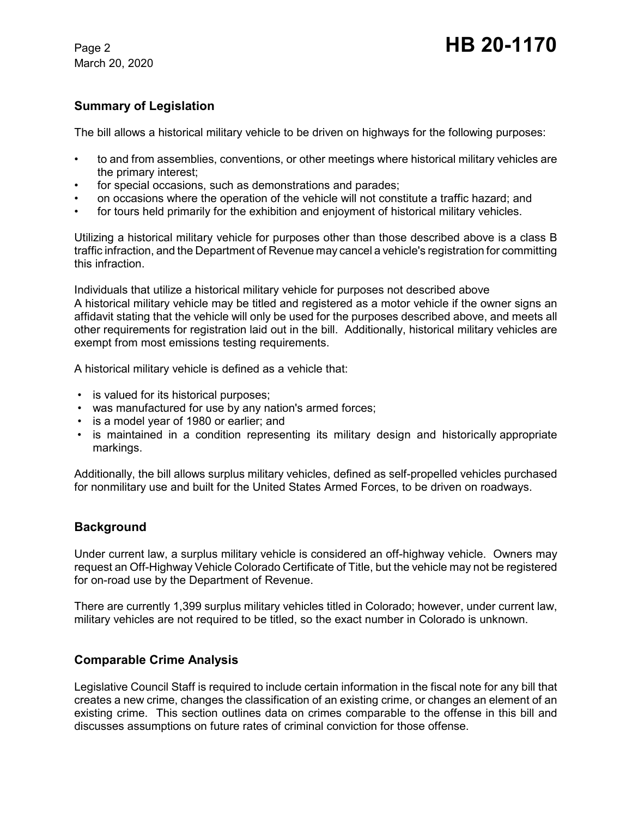March 20, 2020

# Page 2 **HB 20-1170**

#### **Summary of Legislation**

The bill allows a historical military vehicle to be driven on highways for the following purposes:

- to and from assemblies, conventions, or other meetings where historical military vehicles are the primary interest;
- for special occasions, such as demonstrations and parades;
- on occasions where the operation of the vehicle will not constitute a traffic hazard; and
- for tours held primarily for the exhibition and enjoyment of historical military vehicles.

Utilizing a historical military vehicle for purposes other than those described above is a class B traffic infraction, and the Department of Revenue may cancel a vehicle's registration for committing this infraction.

Individuals that utilize a historical military vehicle for purposes not described above A historical military vehicle may be titled and registered as a motor vehicle if the owner signs an affidavit stating that the vehicle will only be used for the purposes described above, and meets all other requirements for registration laid out in the bill. Additionally, historical military vehicles are exempt from most emissions testing requirements.

A historical military vehicle is defined as a vehicle that:

- is valued for its historical purposes;
- was manufactured for use by any nation's armed forces;
- is a model year of 1980 or earlier; and
- is maintained in a condition representing its military design and historically appropriate markings.

Additionally, the bill allows surplus military vehicles, defined as self-propelled vehicles purchased for nonmilitary use and built for the United States Armed Forces, to be driven on roadways.

#### **Background**

Under current law, a surplus military vehicle is considered an off-highway vehicle. Owners may request an Off-Highway Vehicle Colorado Certificate of Title, but the vehicle may not be registered for on-road use by the Department of Revenue.

There are currently 1,399 surplus military vehicles titled in Colorado; however, under current law, military vehicles are not required to be titled, so the exact number in Colorado is unknown.

#### **Comparable Crime Analysis**

Legislative Council Staff is required to include certain information in the fiscal note for any bill that creates a new crime, changes the classification of an existing crime, or changes an element of an existing crime. This section outlines data on crimes comparable to the offense in this bill and discusses assumptions on future rates of criminal conviction for those offense.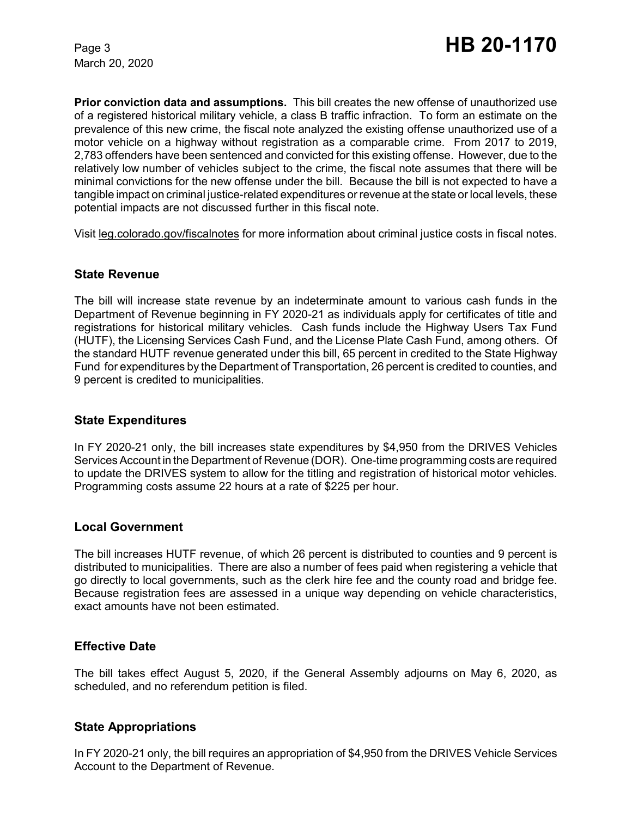March 20, 2020

**Prior conviction data and assumptions.** This bill creates the new offense of unauthorized use of a registered historical military vehicle, a class B traffic infraction. To form an estimate on the prevalence of this new crime, the fiscal note analyzed the existing offense unauthorized use of a motor vehicle on a highway without registration as a comparable crime. From 2017 to 2019, 2,783 offenders have been sentenced and convicted for this existing offense. However, due to the relatively low number of vehicles subject to the crime, the fiscal note assumes that there will be minimal convictions for the new offense under the bill. Because the bill is not expected to have a tangible impact on criminal justice-related expenditures or revenue at the state or local levels, these potential impacts are not discussed further in this fiscal note.

Visit leg.colorado.gov/fiscalnotes for more information about criminal justice costs in fiscal notes.

#### **State Revenue**

The bill will increase state revenue by an indeterminate amount to various cash funds in the Department of Revenue beginning in FY 2020-21 as individuals apply for certificates of title and registrations for historical military vehicles. Cash funds include the Highway Users Tax Fund (HUTF), the Licensing Services Cash Fund, and the License Plate Cash Fund, among others. Of the standard HUTF revenue generated under this bill, 65 percent in credited to the State Highway Fund for expenditures by the Department of Transportation, 26 percent is credited to counties, and 9 percent is credited to municipalities.

#### **State Expenditures**

In FY 2020-21 only, the bill increases state expenditures by \$4,950 from the DRIVES Vehicles ServicesAccount in the Department of Revenue (DOR). One-time programming costs are required to update the DRIVES system to allow for the titling and registration of historical motor vehicles. Programming costs assume 22 hours at a rate of \$225 per hour.

#### **Local Government**

The bill increases HUTF revenue, of which 26 percent is distributed to counties and 9 percent is distributed to municipalities. There are also a number of fees paid when registering a vehicle that go directly to local governments, such as the clerk hire fee and the county road and bridge fee. Because registration fees are assessed in a unique way depending on vehicle characteristics, exact amounts have not been estimated.

#### **Effective Date**

The bill takes effect August 5, 2020, if the General Assembly adjourns on May 6, 2020, as scheduled, and no referendum petition is filed.

#### **State Appropriations**

In FY 2020-21 only, the bill requires an appropriation of \$4,950 from the DRIVES Vehicle Services Account to the Department of Revenue.